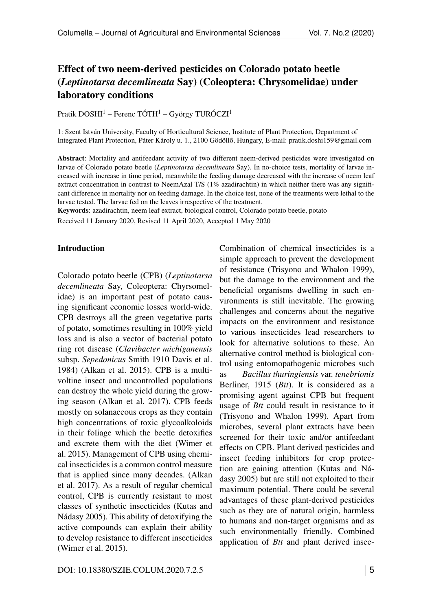# Effect of two neem-derived pesticides on Colorado potato beetle (*Leptinotarsa decemlineata* Say) (Coleoptera: Chrysomelidae) under laboratory conditions

Pratik DOSHI<sup>1</sup> – Ferenc TÓTH<sup>1</sup> – György TURÓCZI<sup>1</sup>

1: Szent István University, Faculty of Horticultural Science, Institute of Plant Protection, Department of Integrated Plant Protection, Páter Károly u. 1., 2100 Gödöllő, Hungary, E-mail: [pratik.doshi159@gmail.com](mailto:pratik.doshi159@gmail.com)

Abstract: Mortality and antifeedant activity of two different neem-derived pesticides were investigated on larvae of Colorado potato beetle (*Leptinotarsa decemlineata* Say). In no-choice tests, mortality of larvae increased with increase in time period, meanwhile the feeding damage decreased with the increase of neem leaf extract concentration in contrast to NeemAzal T/S (1% azadirachtin) in which neither there was any significant difference in mortality nor on feeding damage. In the choice test, none of the treatments were lethal to the larvae tested. The larvae fed on the leaves irrespective of the treatment.

Keywords: azadirachtin, neem leaf extract, biological control, Colorado potato beetle, potato

Received 11 January 2020, Revised 11 April 2020, Accepted 1 May 2020

#### Introduction

Colorado potato beetle (CPB) (*Leptinotarsa decemlineata* Say, Coleoptera: Chyrsomelidae) is an important pest of potato causing significant economic losses world-wide. CPB destroys all the green vegetative parts of potato, sometimes resulting in 100% yield loss and is also a vector of bacterial potato ring rot disease (*Clavibacter michiganensis* subsp. *Sepedonicus* Smith 1910 Davis et al. 1984) (Alkan et al. 2015). CPB is a multivoltine insect and uncontrolled populations can destroy the whole yield during the growing season (Alkan et al. 2017). CPB feeds mostly on solanaceous crops as they contain high concentrations of toxic glycoalkoloids in their foliage which the beetle detoxifies and excrete them with the diet (Wimer et al. 2015). Management of CPB using chemical insecticides is a common control measure that is applied since many decades. (Alkan et al. 2017). As a result of regular chemical control, CPB is currently resistant to most classes of synthetic insecticides (Kutas and Nádasy 2005). This ability of detoxifying the active compounds can explain their ability to develop resistance to different insecticides (Wimer et al. 2015).

Combination of chemical insecticides is a simple approach to prevent the development of resistance (Trisyono and Whalon 1999), but the damage to the environment and the beneficial organisms dwelling in such environments is still inevitable. The growing challenges and concerns about the negative impacts on the environment and resistance to various insecticides lead researchers to look for alternative solutions to these. An alternative control method is biological control using entomopathogenic microbes such

as *Bacillus thuringiensis* var. *tenebrionis* Berliner, 1915 (*Btt*). It is considered as a promising agent against CPB but frequent usage of *Btt* could result in resistance to it (Trisyono and Whalon 1999). Apart from microbes, several plant extracts have been screened for their toxic and/or antifeedant effects on CPB. Plant derived pesticides and insect feeding inhibitors for crop protection are gaining attention (Kutas and Nádasy 2005) but are still not exploited to their maximum potential. There could be several advantages of these plant-derived pesticides such as they are of natural origin, harmless to humans and non-target organisms and as such environmentally friendly. Combined application of *Btt* and plant derived insec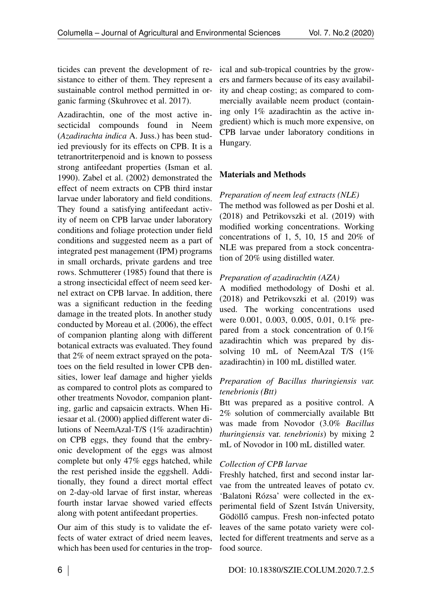ticides can prevent the development of resistance to either of them. They represent a sustainable control method permitted in organic farming (Skuhrovec et al. 2017).

Azadirachtin, one of the most active insecticidal compounds found in Neem (*Azadirachta indica* A. Juss.) has been studied previously for its effects on CPB. It is a tetranortriterpenoid and is known to possess strong antifeedant properties (Isman et al. 1990). Zabel et al. (2002) demonstrated the effect of neem extracts on CPB third instar larvae under laboratory and field conditions. They found a satisfying antifeedant activity of neem on CPB larvae under laboratory conditions and foliage protection under field conditions and suggested neem as a part of integrated pest management (IPM) programs in small orchards, private gardens and tree rows. Schmutterer (1985) found that there is a strong insecticidal effect of neem seed kernel extract on CPB larvae. In addition, there was a significant reduction in the feeding damage in the treated plots. In another study conducted by Moreau et al. (2006), the effect of companion planting along with different botanical extracts was evaluated. They found that 2% of neem extract sprayed on the potatoes on the field resulted in lower CPB densities, lower leaf damage and higher yields as compared to control plots as compared to other treatments Novodor, companion planting, garlic and capsaicin extracts. When Hiiesaar et al. (2000) applied different water dilutions of NeemAzal-T/S (1% azadirachtin) on CPB eggs, they found that the embryonic development of the eggs was almost complete but only 47% eggs hatched, while the rest perished inside the eggshell. Additionally, they found a direct mortal effect on 2-day-old larvae of first instar, whereas fourth instar larvae showed varied effects along with potent antifeedant properties.

Our aim of this study is to validate the effects of water extract of dried neem leaves, which has been used for centuries in the tropical and sub-tropical countries by the growers and farmers because of its easy availability and cheap costing; as compared to commercially available neem product (containing only 1% azadirachtin as the active ingredient) which is much more expensive, on CPB larvae under laboratory conditions in Hungary.

# Materials and Methods

# *Preparation of neem leaf extracts (NLE)*

The method was followed as per Doshi et al. (2018) and Petrikovszki et al. (2019) with modified working concentrations. Working concentrations of 1, 5, 10, 15 and 20% of NLE was prepared from a stock concentration of 20% using distilled water.

# *Preparation of azadirachtin (AZA)*

A modified methodology of Doshi et al. (2018) and Petrikovszki et al. (2019) was used. The working concentrations used were 0.001, 0.003, 0.005, 0.01, 0.1% prepared from a stock concentration of 0.1% azadirachtin which was prepared by dissolving 10 mL of NeemAzal T/S (1% azadirachtin) in 100 mL distilled water.

# *Preparation of Bacillus thuringiensis var. tenebrionis (Btt)*

Btt was prepared as a positive control. A 2% solution of commercially available Btt was made from Novodor (3.0% *Bacillus thuringiensis* var. *tenebrionis*) by mixing 2 mL of Novodor in 100 mL distilled water.

# *Collection of CPB larvae*

Freshly hatched, first and second instar larvae from the untreated leaves of potato cv. 'Balatoni Rózsa' were collected in the experimental field of Szent István University, Gödöllő campus. Fresh non-infected potato leaves of the same potato variety were collected for different treatments and serve as a food source.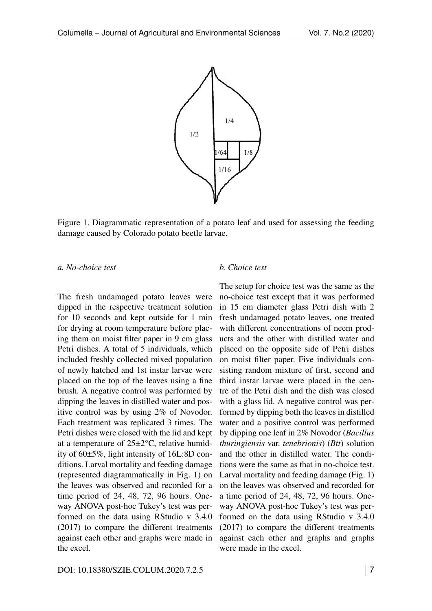

<span id="page-2-0"></span>Figure 1. Diagrammatic representation of a potato leaf and used for assessing the feeding damage caused by Colorado potato beetle larvae.

#### *a. No-choice test*

The fresh undamaged potato leaves were dipped in the respective treatment solution for 10 seconds and kept outside for 1 min for drying at room temperature before placing them on moist filter paper in 9 cm glass Petri dishes. A total of 5 individuals, which included freshly collected mixed population of newly hatched and 1st instar larvae were placed on the top of the leaves using a fine brush. A negative control was performed by dipping the leaves in distilled water and positive control was by using 2% of Novodor. Each treatment was replicated 3 times. The Petri dishes were closed with the lid and kept at a temperature of 25±2°C, relative humidity of 60±5%, light intensity of 16L:8D conditions. Larval mortality and feeding damage (represented diagrammatically in Fig. [1\)](#page-2-0) on the leaves was observed and recorded for a time period of 24, 48, 72, 96 hours. Oneway ANOVA post-hoc Tukey's test was performed on the data using RStudio v 3.4.0 (2017) to compare the different treatments against each other and graphs were made in the excel.

#### *b. Choice test*

The setup for choice test was the same as the no-choice test except that it was performed in 15 cm diameter glass Petri dish with 2 fresh undamaged potato leaves, one treated with different concentrations of neem products and the other with distilled water and placed on the opposite side of Petri dishes on moist filter paper. Five individuals consisting random mixture of first, second and third instar larvae were placed in the centre of the Petri dish and the dish was closed with a glass lid. A negative control was performed by dipping both the leaves in distilled water and a positive control was performed by dipping one leaf in 2% Novodor (*Bacillus thuringiensis* var. *tenebrionis*) (*Btt*) solution and the other in distilled water. The conditions were the same as that in no-choice test. Larval mortality and feeding damage (Fig. 1) on the leaves was observed and recorded for a time period of 24, 48, 72, 96 hours. Oneway ANOVA post-hoc Tukey's test was performed on the data using RStudio v 3.4.0 (2017) to compare the different treatments against each other and graphs and graphs were made in the excel.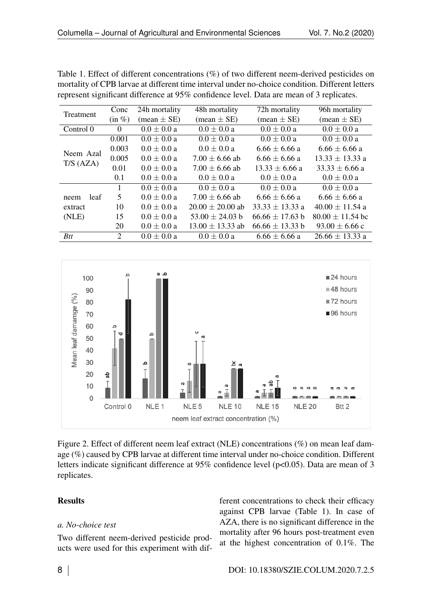| represent significant difference at 95% confidence level. Data are mean of 3 replicates. |              |                               |                               |                               |                               |  |  |  |
|------------------------------------------------------------------------------------------|--------------|-------------------------------|-------------------------------|-------------------------------|-------------------------------|--|--|--|
| Treatment                                                                                | Conc         | 24h mortality                 | 48h mortality                 | 72h mortality                 | 96h mortality                 |  |  |  |
|                                                                                          | $(in \%)$    | $(\text{mean} \pm \text{SE})$ | $(\text{mean} \pm \text{SE})$ | $(\text{mean} \pm \text{SE})$ | $(\text{mean} \pm \text{SE})$ |  |  |  |
| Control 0                                                                                | $\Omega$     | $0.0 \pm 0.0 a$               | $0.0 \pm 0.0 a$               | $0.0 \pm 0.0 a$               | $0.0 \pm 0.0 a$               |  |  |  |
| Neem Azal<br>T/S(AZA)                                                                    | 0.001        | $0.0 \pm 0.0 a$               | $0.0 \pm 0.0 a$               | $0.0 \pm 0.0 a$               | $0.0 \pm 0.0 a$               |  |  |  |
|                                                                                          | 0.003        | $0.0 \pm 0.0 a$               | $0.0 \pm 0.0 a$               | $6.66 \pm 6.66$ a             | $6.66 \pm 6.66$ a             |  |  |  |
|                                                                                          | 0.005        | $0.0 \pm 0.0 a$               | $7.00 \pm 6.66$ ab            | $6.66 \pm 6.66$ a             | $13.33 \pm 13.33$ a           |  |  |  |
|                                                                                          | 0.01         | $0.0 \pm 0.0 a$               | $7.00 \pm 6.66$ ab            | $13.33 \pm 6.66$ a            | $33.33 \pm 6.66$ a            |  |  |  |
|                                                                                          | 0.1          | $0.0 \pm 0.0 a$               | $0.0 \pm 0.0 a$               | $0.0 \pm 0.0 a$               | $0.0 \pm 0.0 a$               |  |  |  |
|                                                                                          | $\mathbf{1}$ | $0.0 \pm 0.0 a$               | $0.0 \pm 0.0 a$               | $0.0 \pm 0.0 a$               | $0.0 \pm 0.0 a$               |  |  |  |
| leaf<br>neem                                                                             | 5            | $0.0 \pm 0.0 a$               | $7.00 \pm 6.66$ ab            | $6.66 \pm 6.66$ a             | $6.66 \pm 6.66$ a             |  |  |  |
| extract                                                                                  | 10           | $0.0 \pm 0.0 a$               | $20.00 \pm 20.00$ ab          | $33.33 \pm 13.33$ a           | $40.00 \pm 11.54$ a           |  |  |  |
| (NLE)                                                                                    | 15           | $0.0 \pm 0.0 a$               | $53.00 \pm 24.03 b$           | $66.66 \pm 17.63$ b           | $80.00 \pm 11.54$ bc          |  |  |  |
|                                                                                          | 20           | $0.0 \pm 0.0 a$               | $13.00 \pm 13.33$ ab          | $66.66 \pm 13.33 b$           | $93.00 \pm 6.66$ c            |  |  |  |
| <b>Btt</b>                                                                               | 2            | $0.0 \pm 0.0 a$               | $0.0 \pm 0.0 a$               | $6.66 \pm 6.66$ a             | $26.66 \pm 13.33$ a           |  |  |  |

<span id="page-3-0"></span>Table 1. Effect of different concentrations (%) of two different neem-derived pesticides on mortality of CPB larvae at different time interval under no-choice condition. Different letters



<span id="page-3-1"></span>Figure 2. Effect of different neem leaf extract (NLE) concentrations (%) on mean leaf damage (%) caused by CPB larvae at different time interval under no-choice condition. Different letters indicate significant difference at  $95\%$  confidence level ( $p<0.05$ ). Data are mean of 3 replicates.

### **Results**

### *a. No-choice test*

Two different neem-derived pesticide products were used for this experiment with different concentrations to check their efficacy against CPB larvae (Table [1\)](#page-3-0). In case of AZA, there is no significant difference in the mortality after 96 hours post-treatment even at the highest concentration of 0.1%. The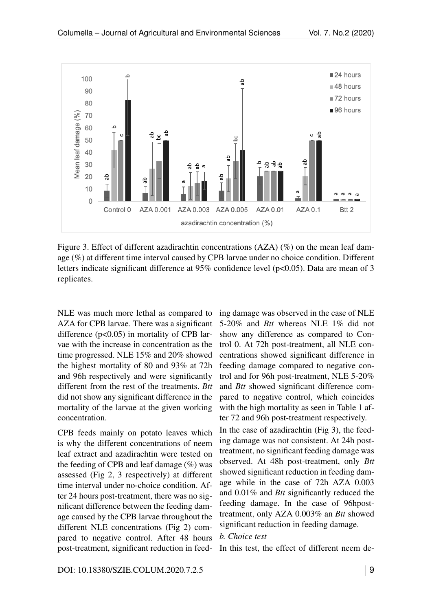

<span id="page-4-0"></span>Figure 3. Effect of different azadirachtin concentrations (AZA) (%) on the mean leaf damage (%) at different time interval caused by CPB larvae under no choice condition. Different letters indicate significant difference at 95% confidence level (p<0.05). Data are mean of 3 replicates.

NLE was much more lethal as compared to AZA for CPB larvae. There was a significant difference  $(p<0.05)$  in mortality of CPB larvae with the increase in concentration as the time progressed. NLE 15% and 20% showed the highest mortality of 80 and 93% at 72h and 96h respectively and were significantly different from the rest of the treatments. *Btt* did not show any significant difference in the mortality of the larvae at the given working concentration.

CPB feeds mainly on potato leaves which is why the different concentrations of neem leaf extract and azadirachtin were tested on the feeding of CPB and leaf damage  $(\%)$  was assessed (Fig [2,](#page-3-1) [3](#page-4-0) respectively) at different time interval under no-choice condition. After 24 hours post-treatment, there was no significant difference between the feeding damage caused by the CPB larvae throughout the different NLE concentrations (Fig [2\)](#page-3-1) compared to negative control. After 48 hours post-treatment, significant reduction in feeding damage was observed in the case of NLE 5-20% and *Btt* whereas NLE 1% did not show any difference as compared to Control 0. At 72h post-treatment, all NLE concentrations showed significant difference in feeding damage compared to negative control and for 96h post-treatment, NLE 5-20% and *Btt* showed significant difference compared to negative control, which coincides with the high mortality as seen in Table 1 after 72 and 96h post-treatment respectively.

In the case of azadirachtin (Fig [3\)](#page-4-0), the feeding damage was not consistent. At 24h posttreatment, no significant feeding damage was observed. At 48h post-treatment, only *Btt* showed significant reduction in feeding damage while in the case of 72h AZA 0.003 and 0.01% and *Btt* significantly reduced the feeding damage. In the case of 96hposttreatment, only AZA 0.003% an *Btt* showed significant reduction in feeding damage.

### *b. Choice test*

In this test, the effect of different neem de-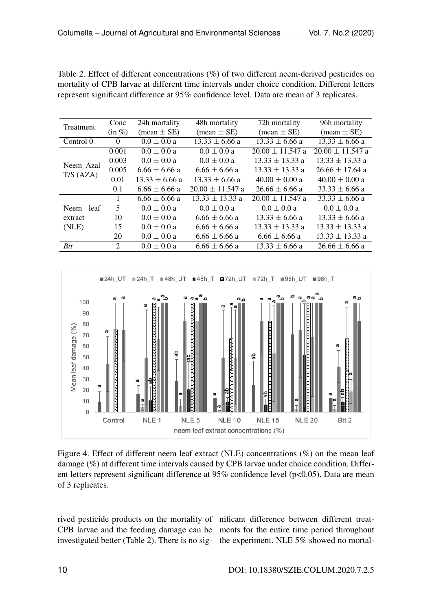| Treatment             | Conc      | 24h mortality                 | 48h mortality                 | 72h mortality                 | 96h mortality                 |
|-----------------------|-----------|-------------------------------|-------------------------------|-------------------------------|-------------------------------|
|                       | $(in \%)$ | $(\text{mean} \pm \text{SE})$ | $(\text{mean} \pm \text{SE})$ | $(\text{mean} \pm \text{SE})$ | $(\text{mean} \pm \text{SE})$ |
| Control 0             | $\Omega$  | $0.0 \pm 0.0 a$               | $13.33 \pm 6.66$ a            | $13.33 \pm 6.66$ a            | $13.33 \pm 6.66$ a            |
| Neem Azal<br>T/S(AZA) | 0.001     | $0.0 \pm 0.0 a$               | $0.0 \pm 0.0 a$               | $20.00 \pm 11.547$ a          | $20.00 \pm 11.547$ a          |
|                       | 0.003     | $0.0 \pm 0.0 a$               | $0.0 \pm 0.0 a$               | $13.33 \pm 13.33$ a           | $13.33 \pm 13.33$ a           |
|                       | 0.005     | $6.66 \pm 6.66$ a             | $6.66 \pm 6.66$ a             | $13.33 \pm 13.33$ a           | $26.66 \pm 17.64$ a           |
|                       | 0.01      | $13.33 \pm 6.66$ a            | $13.33 \pm 6.66$ a            | $40.00 \pm 0.00 a$            | $40.00 \pm 0.00$ a            |
|                       | 0.1       | $6.66 \pm 6.66$ a             | $20.00 \pm 11.547$ a          | $26.66 \pm 6.66$ a            | $33.33 \pm 6.66$ a            |
|                       |           | $6.66 \pm 6.66$ a             | $13.33 \pm 13.33$ a           | $20.00 \pm 11.547$ a          | $33.33 \pm 6.66$ a            |
| Neem leaf             | 5         | $0.0 \pm 0.0 a$               | $0.0 \pm 0.0 a$               | $0.0 \pm 0.0 a$               | $0.0 \pm 0.0 a$               |
| extract               | 10        | $0.0 \pm 0.0 a$               | $6.66 \pm 6.66$ a             | $13.33 \pm 6.66$ a            | $13.33 \pm 6.66$ a            |
| (NLE)                 | 15        | $0.0 \pm 0.0 a$               | $6.66 \pm 6.66$ a             | $13.33 \pm 13.33$ a           | $13.33 \pm 13.33$ a           |
|                       | 20        | $0.0 \pm 0.0 a$               | $6.66 \pm 6.66$ a             | $6.66 \pm 6.66$ a             | $13.33 \pm 13.33$ a           |
| <b>Btt</b>            | 2         | $0.0 \pm 0.0 a$               | $6.66 \pm 6.66$ a             | $13.33 \pm 6.66$ a            | $26.66 \pm 6.66$ a            |

<span id="page-5-0"></span>Table 2. Effect of different concentrations (%) of two different neem-derived pesticides on mortality of CPB larvae at different time intervals under choice condition. Different letters represent significant difference at 95% confidence level. Data are mean of 3 replicates.



<span id="page-5-1"></span>Figure 4. Effect of different neem leaf extract (NLE) concentrations (%) on the mean leaf damage (%) at different time intervals caused by CPB larvae under choice condition. Different letters represent significant difference at 95% confidence level (p<0.05). Data are mean of 3 replicates.

rived pesticide products on the mortality of nificant difference between different treat-CPB larvae and the feeding damage can be ments for the entire time period throughout investigated better (Table [2\)](#page-5-0). There is no sig-the experiment. NLE 5% showed no mortal-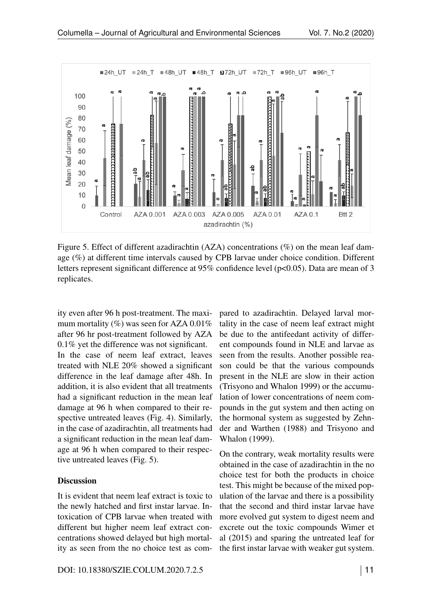

<span id="page-6-0"></span>Figure 5. Effect of different azadirachtin (AZA) concentrations (%) on the mean leaf damage (%) at different time intervals caused by CPB larvae under choice condition. Different letters represent significant difference at 95% confidence level ( $p<0.05$ ). Data are mean of 3 replicates.

ity even after 96 h post-treatment. The maximum mortality  $(\%)$  was seen for AZA 0.01% after 96 hr post-treatment followed by AZA 0.1% yet the difference was not significant. In the case of neem leaf extract, leaves treated with NLE 20% showed a significant difference in the leaf damage after 48h. In addition, it is also evident that all treatments had a significant reduction in the mean leaf damage at 96 h when compared to their respective untreated leaves (Fig. [4\)](#page-5-1). Similarly, in the case of azadirachtin, all treatments had a significant reduction in the mean leaf damage at 96 h when compared to their respective untreated leaves (Fig. [5\)](#page-6-0).

### **Discussion**

It is evident that neem leaf extract is toxic to the newly hatched and first instar larvae. Intoxication of CPB larvae when treated with different but higher neem leaf extract concentrations showed delayed but high mortality as seen from the no choice test as compared to azadirachtin. Delayed larval mortality in the case of neem leaf extract might be due to the antifeedant activity of different compounds found in NLE and larvae as seen from the results. Another possible reason could be that the various compounds present in the NLE are slow in their action (Trisyono and Whalon 1999) or the accumulation of lower concentrations of neem compounds in the gut system and then acting on the hormonal system as suggested by Zehnder and Warthen (1988) and Trisyono and Whalon (1999).

On the contrary, weak mortality results were obtained in the case of azadirachtin in the no choice test for both the products in choice test. This might be because of the mixed population of the larvae and there is a possibility that the second and third instar larvae have more evolved gut system to digest neem and excrete out the toxic compounds Wimer et al (2015) and sparing the untreated leaf for the first instar larvae with weaker gut system.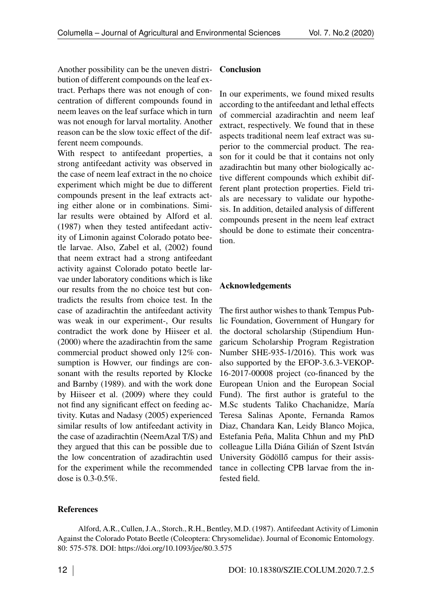Another possibility can be the uneven distribution of different compounds on the leaf extract. Perhaps there was not enough of concentration of different compounds found in neem leaves on the leaf surface which in turn was not enough for larval mortality. Another reason can be the slow toxic effect of the different neem compounds.

With respect to antifeedant properties, a strong antifeedant activity was observed in the case of neem leaf extract in the no choice experiment which might be due to different compounds present in the leaf extracts acting either alone or in combinations. Similar results were obtained by Alford et al. (1987) when they tested antifeedant activity of Limonin against Colorado potato beetle larvae. Also, Zabel et al, (2002) found that neem extract had a strong antifeedant activity against Colorado potato beetle larvae under laboratory conditions which is like our results from the no choice test but contradicts the results from choice test. In the case of azadirachtin the antifeedant activity was weak in our experiment-, Our results contradict the work done by Hiiseer et al. (2000) where the azadirachtin from the same commercial product showed only 12% consumption is Howver, our findings are consonant with the results reported by Klocke and Barnby (1989). and with the work done by Hiiseer et al. (2009) where they could not find any significant effect on feeding activity. Kutas and Nadasy (2005) experienced similar results of low antifeedant activity in the case of azadirachtin (NeemAzal T/S) and they argued that this can be possible due to the low concentration of azadirachtin used for the experiment while the recommended dose is 0.3-0.5%.

#### **Conclusion**

In our experiments, we found mixed results according to the antifeedant and lethal effects of commercial azadirachtin and neem leaf extract, respectively. We found that in these aspects traditional neem leaf extract was superior to the commercial product. The reason for it could be that it contains not only azadirachtin but many other biologically active different compounds which exhibit different plant protection properties. Field trials are necessary to validate our hypothesis. In addition, detailed analysis of different compounds present in the neem leaf extract should be done to estimate their concentration.

#### Acknowledgements

The first author wishes to thank Tempus Public Foundation, Government of Hungary for the doctoral scholarship (Stipendium Hungaricum Scholarship Program Registration Number SHE-935-1/2016). This work was also supported by the EFOP-3.6.3-VEKOP-16-2017-00008 project (co-financed by the European Union and the European Social Fund). The first author is grateful to the M.Sc students Taliko Chachanidze, María Teresa Salinas Aponte, Fernanda Ramos Diaz, Chandara Kan, Leidy Blanco Mojica, Estefania Peña, Malita Chhun and my PhD colleague Lilla Diána Gilián of Szent István University Gödöllő campus for their assistance in collecting CPB larvae from the infested field.

### **References**

Alford, A.R., Cullen, J.A., Storch., R.H., Bentley, M.D. (1987). Antifeedant Activity of Limonin Against the Colorado Potato Beetle (Coleoptera: Chrysomelidae). Journal of Economic Entomology. 80: 575-578. DOI:<https://doi.org/10.1093/jee/80.3.575>